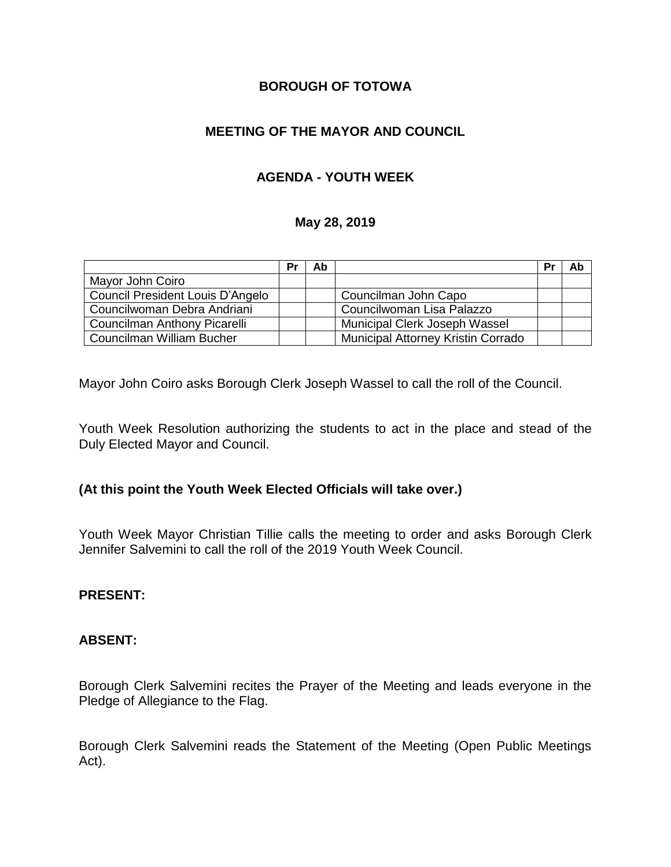## **BOROUGH OF TOTOWA**

# **MEETING OF THE MAYOR AND COUNCIL**

# **AGENDA - YOUTH WEEK**

### **May 28, 2019**

|                                  | Pr | Ab |                                    | Pr | Ab |
|----------------------------------|----|----|------------------------------------|----|----|
| Mayor John Coiro                 |    |    |                                    |    |    |
| Council President Louis D'Angelo |    |    | Councilman John Capo               |    |    |
| Councilwoman Debra Andriani      |    |    | Councilwoman Lisa Palazzo          |    |    |
| Councilman Anthony Picarelli     |    |    | Municipal Clerk Joseph Wassel      |    |    |
| Councilman William Bucher        |    |    | Municipal Attorney Kristin Corrado |    |    |

Mayor John Coiro asks Borough Clerk Joseph Wassel to call the roll of the Council.

Youth Week Resolution authorizing the students to act in the place and stead of the Duly Elected Mayor and Council.

## **(At this point the Youth Week Elected Officials will take over.)**

Youth Week Mayor Christian Tillie calls the meeting to order and asks Borough Clerk Jennifer Salvemini to call the roll of the 2019 Youth Week Council.

#### **PRESENT:**

#### **ABSENT:**

Borough Clerk Salvemini recites the Prayer of the Meeting and leads everyone in the Pledge of Allegiance to the Flag.

Borough Clerk Salvemini reads the Statement of the Meeting (Open Public Meetings Act).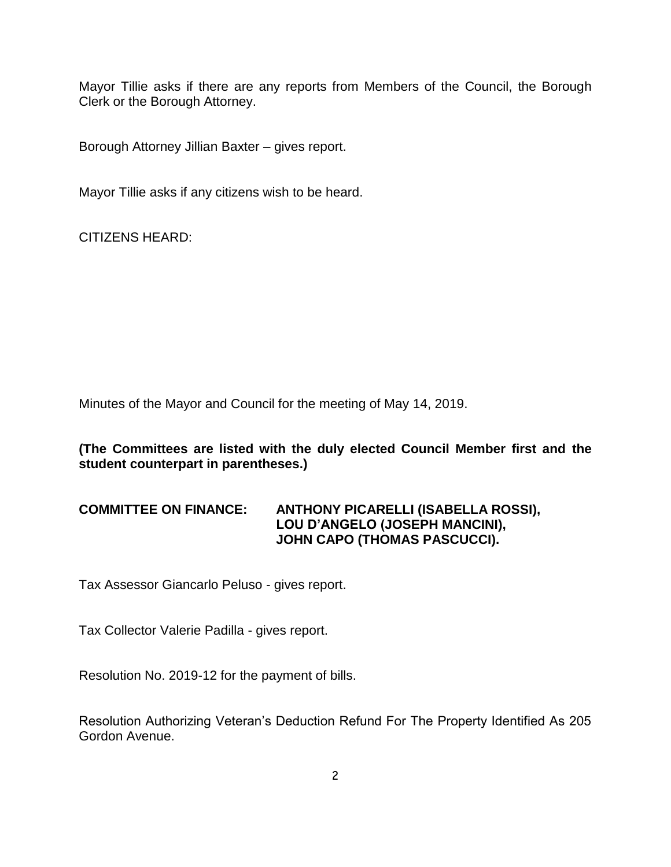Mayor Tillie asks if there are any reports from Members of the Council, the Borough Clerk or the Borough Attorney.

Borough Attorney Jillian Baxter – gives report.

Mayor Tillie asks if any citizens wish to be heard.

CITIZENS HEARD:

Minutes of the Mayor and Council for the meeting of May 14, 2019.

**(The Committees are listed with the duly elected Council Member first and the student counterpart in parentheses.)**

## **COMMITTEE ON FINANCE: ANTHONY PICARELLI (ISABELLA ROSSI), LOU D'ANGELO (JOSEPH MANCINI), JOHN CAPO (THOMAS PASCUCCI).**

Tax Assessor Giancarlo Peluso - gives report.

Tax Collector Valerie Padilla - gives report.

Resolution No. 2019-12 for the payment of bills.

Resolution Authorizing Veteran's Deduction Refund For The Property Identified As 205 Gordon Avenue.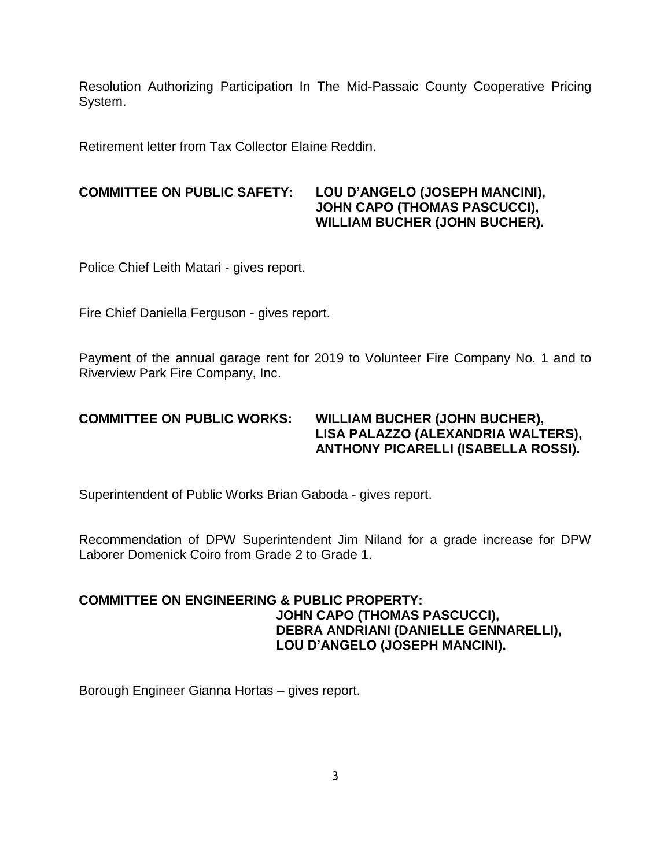Resolution Authorizing Participation In The Mid-Passaic County Cooperative Pricing System.

Retirement letter from Tax Collector Elaine Reddin.

### **COMMITTEE ON PUBLIC SAFETY: LOU D'ANGELO (JOSEPH MANCINI), JOHN CAPO (THOMAS PASCUCCI), WILLIAM BUCHER (JOHN BUCHER).**

Police Chief Leith Matari - gives report.

Fire Chief Daniella Ferguson - gives report.

Payment of the annual garage rent for 2019 to Volunteer Fire Company No. 1 and to Riverview Park Fire Company, Inc.

### **COMMITTEE ON PUBLIC WORKS: WILLIAM BUCHER (JOHN BUCHER), LISA PALAZZO (ALEXANDRIA WALTERS), ANTHONY PICARELLI (ISABELLA ROSSI).**

Superintendent of Public Works Brian Gaboda - gives report.

Recommendation of DPW Superintendent Jim Niland for a grade increase for DPW Laborer Domenick Coiro from Grade 2 to Grade 1.

## **COMMITTEE ON ENGINEERING & PUBLIC PROPERTY: JOHN CAPO (THOMAS PASCUCCI), DEBRA ANDRIANI (DANIELLE GENNARELLI), LOU D'ANGELO (JOSEPH MANCINI).**

Borough Engineer Gianna Hortas – gives report.